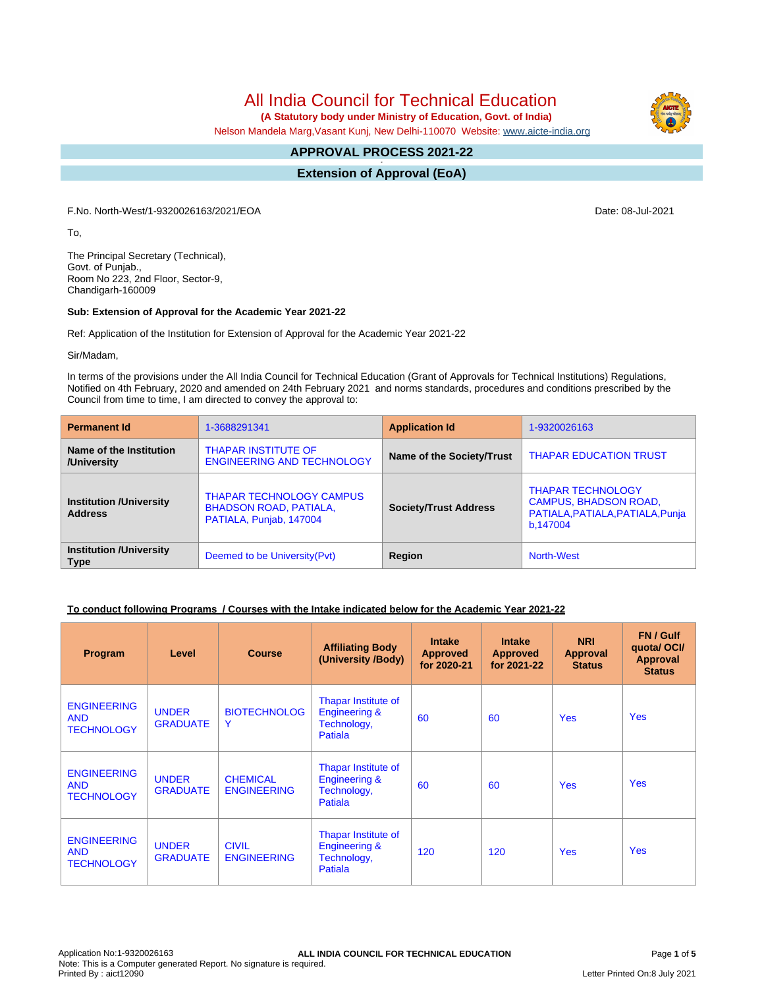# All India Council for Technical Education

 **(A Statutory body under Ministry of Education, Govt. of India)**

Nelson Mandela Marg,Vasant Kunj, New Delhi-110070 Website: [www.aicte-india.org](http://www.aicte-india.org)

#### **APPROVAL PROCESS 2021-22 -**

**Extension of Approval (EoA)**

F.No. North-West/1-9320026163/2021/EOA Date: 08-Jul-2021

To,

The Principal Secretary (Technical), Govt. of Punjab., Room No 223, 2nd Floor, Sector-9, Chandigarh-160009

#### **Sub: Extension of Approval for the Academic Year 2021-22**

Ref: Application of the Institution for Extension of Approval for the Academic Year 2021-22

Sir/Madam,

In terms of the provisions under the All India Council for Technical Education (Grant of Approvals for Technical Institutions) Regulations, Notified on 4th February, 2020 and amended on 24th February 2021 and norms standards, procedures and conditions prescribed by the Council from time to time, I am directed to convey the approval to:

| <b>Permanent Id</b>                              | 1-3688291341                                                                                | <b>Application Id</b>        | 1-9320026163                                                                                             |
|--------------------------------------------------|---------------------------------------------------------------------------------------------|------------------------------|----------------------------------------------------------------------------------------------------------|
| Name of the Institution<br>/University           | <b>THAPAR INSTITUTE OF</b><br><b>ENGINEERING AND TECHNOLOGY</b>                             | Name of the Society/Trust    | <b>THAPAR EDUCATION TRUST</b>                                                                            |
| <b>Institution /University</b><br><b>Address</b> | <b>THAPAR TECHNOLOGY CAMPUS</b><br><b>BHADSON ROAD, PATIALA,</b><br>PATIALA, Punjab, 147004 | <b>Society/Trust Address</b> | <b>THAPAR TECHNOLOGY</b><br><b>CAMPUS, BHADSON ROAD,</b><br>PATIALA, PATIALA, PATIALA, Punja<br>b.147004 |
| <b>Institution /University</b><br><b>Type</b>    | Deemed to be University (Pvt)                                                               | Region                       | <b>North-West</b>                                                                                        |

#### **To conduct following Programs / Courses with the Intake indicated below for the Academic Year 2021-22**

| Program                                               | Level                           | <b>Course</b>                         | <b>Affiliating Body</b><br>(University /Body)                             | <b>Intake</b><br><b>Approved</b><br>for 2020-21 | <b>Intake</b><br><b>Approved</b><br>for 2021-22 | <b>NRI</b><br><b>Approval</b><br><b>Status</b> | FN / Gulf<br>quotal OCI/<br><b>Approval</b><br><b>Status</b> |
|-------------------------------------------------------|---------------------------------|---------------------------------------|---------------------------------------------------------------------------|-------------------------------------------------|-------------------------------------------------|------------------------------------------------|--------------------------------------------------------------|
| <b>ENGINEERING</b><br><b>AND</b><br><b>TECHNOLOGY</b> | <b>UNDER</b><br><b>GRADUATE</b> | <b>BIOTECHNOLOG</b><br>Y              | Thapar Institute of<br><b>Engineering &amp;</b><br>Technology,<br>Patiala | 60                                              | 60                                              | <b>Yes</b>                                     | <b>Yes</b>                                                   |
| <b>ENGINEERING</b><br><b>AND</b><br><b>TECHNOLOGY</b> | <b>UNDER</b><br><b>GRADUATE</b> | <b>CHEMICAL</b><br><b>ENGINEERING</b> | Thapar Institute of<br><b>Engineering &amp;</b><br>Technology,<br>Patiala | 60                                              | 60                                              | <b>Yes</b>                                     | <b>Yes</b>                                                   |
| <b>ENGINEERING</b><br><b>AND</b><br><b>TECHNOLOGY</b> | <b>UNDER</b><br><b>GRADUATE</b> | <b>CIVIL</b><br><b>ENGINEERING</b>    | Thapar Institute of<br><b>Engineering &amp;</b><br>Technology,<br>Patiala | 120                                             | 120                                             | <b>Yes</b>                                     | <b>Yes</b>                                                   |

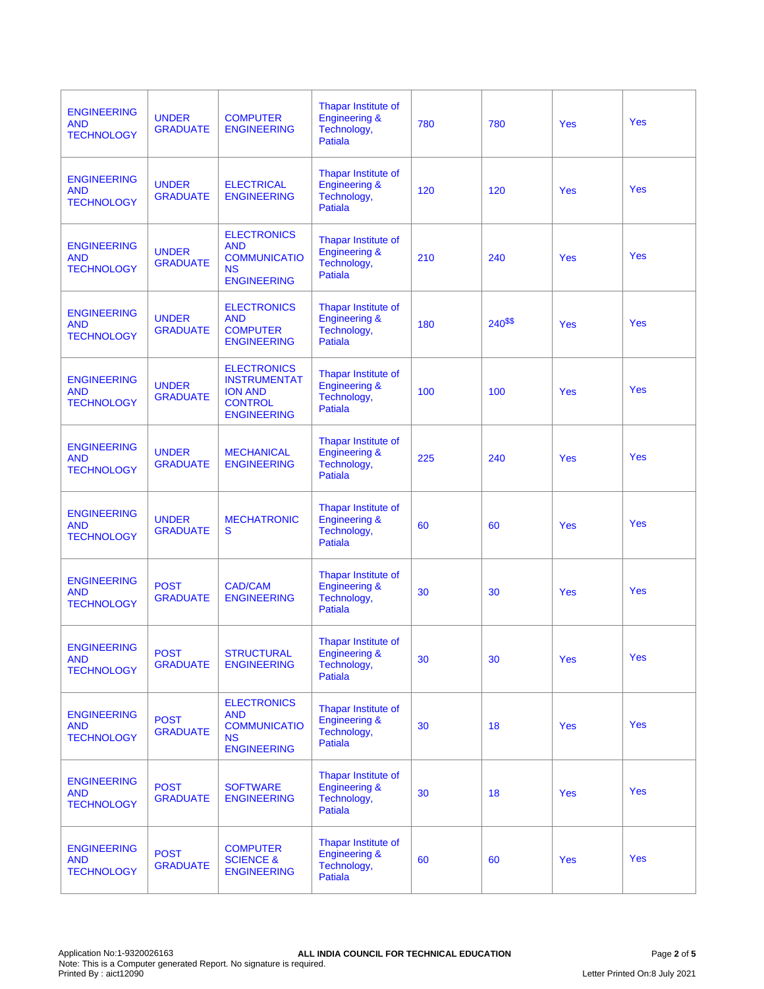| <b>ENGINEERING</b><br><b>AND</b><br><b>TECHNOLOGY</b> | <b>UNDER</b><br><b>GRADUATE</b> | <b>COMPUTER</b><br><b>ENGINEERING</b>                                                               | Thapar Institute of<br><b>Engineering &amp;</b><br>Technology,<br><b>Patiala</b>        | 780 | 780        | <b>Yes</b> | Yes        |
|-------------------------------------------------------|---------------------------------|-----------------------------------------------------------------------------------------------------|-----------------------------------------------------------------------------------------|-----|------------|------------|------------|
| <b>ENGINEERING</b><br><b>AND</b><br><b>TECHNOLOGY</b> | <b>UNDER</b><br><b>GRADUATE</b> | <b>ELECTRICAL</b><br><b>ENGINEERING</b>                                                             | Thapar Institute of<br><b>Engineering &amp;</b><br>Technology,<br>Patiala               | 120 | 120        | <b>Yes</b> | Yes        |
| <b>ENGINEERING</b><br><b>AND</b><br><b>TECHNOLOGY</b> | <b>UNDER</b><br><b>GRADUATE</b> | <b>ELECTRONICS</b><br><b>AND</b><br><b>COMMUNICATIO</b><br><b>NS</b><br><b>ENGINEERING</b>          | <b>Thapar Institute of</b><br><b>Engineering &amp;</b><br>Technology,<br><b>Patiala</b> | 210 | 240        | Yes        | Yes        |
| <b>ENGINEERING</b><br><b>AND</b><br><b>TECHNOLOGY</b> | <b>UNDER</b><br><b>GRADUATE</b> | <b>ELECTRONICS</b><br><b>AND</b><br><b>COMPUTER</b><br><b>ENGINEERING</b>                           | Thapar Institute of<br><b>Engineering &amp;</b><br>Technology,<br><b>Patiala</b>        | 180 | $240^{55}$ | Yes        | Yes        |
| <b>ENGINEERING</b><br><b>AND</b><br><b>TECHNOLOGY</b> | <b>UNDER</b><br><b>GRADUATE</b> | <b>ELECTRONICS</b><br><b>INSTRUMENTAT</b><br><b>ION AND</b><br><b>CONTROL</b><br><b>ENGINEERING</b> | Thapar Institute of<br><b>Engineering &amp;</b><br>Technology,<br><b>Patiala</b>        | 100 | 100        | <b>Yes</b> | Yes        |
| <b>ENGINEERING</b><br><b>AND</b><br><b>TECHNOLOGY</b> | <b>UNDER</b><br><b>GRADUATE</b> | <b>MECHANICAL</b><br><b>ENGINEERING</b>                                                             | Thapar Institute of<br><b>Engineering &amp;</b><br>Technology,<br><b>Patiala</b>        | 225 | 240        | <b>Yes</b> | <b>Yes</b> |
| <b>ENGINEERING</b><br><b>AND</b><br><b>TECHNOLOGY</b> | <b>UNDER</b><br><b>GRADUATE</b> | <b>MECHATRONIC</b><br>s                                                                             | Thapar Institute of<br><b>Engineering &amp;</b><br>Technology,<br><b>Patiala</b>        | 60  | 60         | Yes        | Yes        |
| <b>ENGINEERING</b><br><b>AND</b><br><b>TECHNOLOGY</b> | <b>POST</b><br><b>GRADUATE</b>  | <b>CAD/CAM</b><br><b>ENGINEERING</b>                                                                | Thapar Institute of<br><b>Engineering &amp;</b><br>Technology,<br>Patiala               | 30  | 30         | Yes        | Yes        |
| <b>ENGINEERING</b><br><b>AND</b><br><b>TECHNOLOGY</b> | <b>POST</b><br><b>GRADUATE</b>  | <b>STRUCTURAL</b><br><b>ENGINEERING</b>                                                             | Thapar Institute of<br><b>Engineering &amp;</b><br>Technology,<br>Patiala               | 30  | 30         | Yes        | Yes        |
| <b>ENGINEERING</b><br><b>AND</b><br><b>TECHNOLOGY</b> | <b>POST</b><br><b>GRADUATE</b>  | <b>ELECTRONICS</b><br><b>AND</b><br><b>COMMUNICATIO</b><br><b>NS</b><br><b>ENGINEERING</b>          | Thapar Institute of<br><b>Engineering &amp;</b><br>Technology,<br><b>Patiala</b>        | 30  | 18         | Yes        | <b>Yes</b> |
| <b>ENGINEERING</b><br><b>AND</b><br><b>TECHNOLOGY</b> | <b>POST</b><br><b>GRADUATE</b>  | <b>SOFTWARE</b><br><b>ENGINEERING</b>                                                               | Thapar Institute of<br><b>Engineering &amp;</b><br>Technology,<br><b>Patiala</b>        | 30  | 18         | Yes        | <b>Yes</b> |
| <b>ENGINEERING</b><br><b>AND</b><br><b>TECHNOLOGY</b> | <b>POST</b><br><b>GRADUATE</b>  | <b>COMPUTER</b><br><b>SCIENCE &amp;</b><br><b>ENGINEERING</b>                                       | Thapar Institute of<br><b>Engineering &amp;</b><br>Technology,<br>Patiala               | 60  | 60         | Yes        | <b>Yes</b> |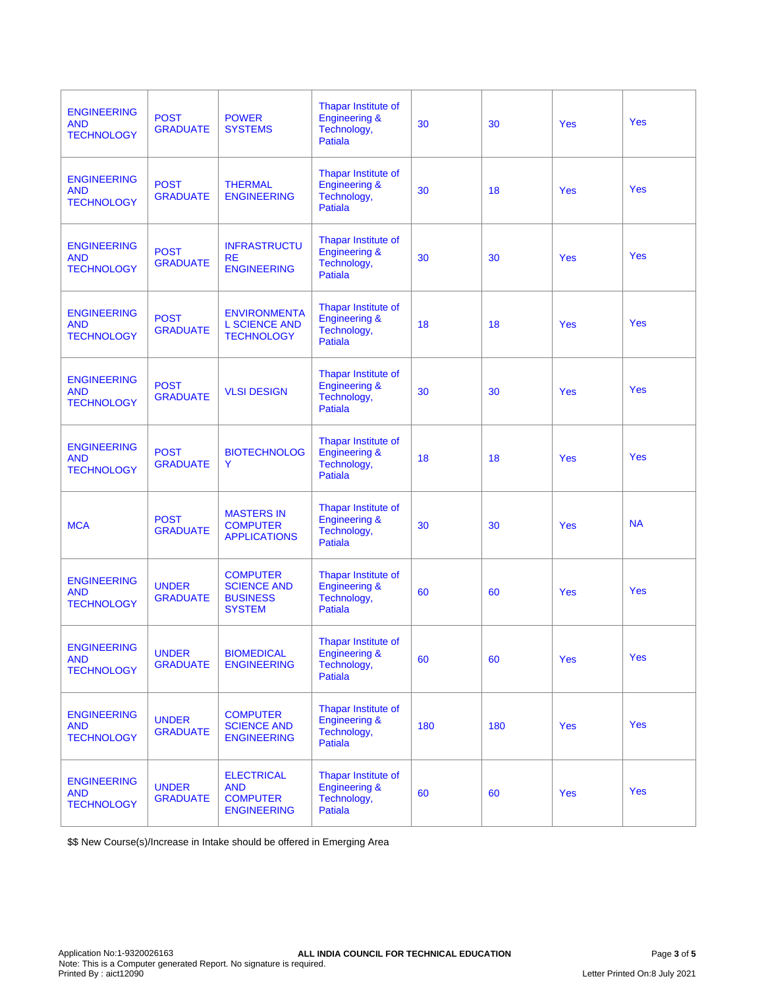| <b>ENGINEERING</b><br><b>AND</b><br><b>TECHNOLOGY</b> | <b>POST</b><br><b>GRADUATE</b>  | <b>POWER</b><br><b>SYSTEMS</b>                                            | Thapar Institute of<br><b>Engineering &amp;</b><br>Technology,<br><b>Patiala</b>        | 30  | 30  | <b>Yes</b> | Yes        |
|-------------------------------------------------------|---------------------------------|---------------------------------------------------------------------------|-----------------------------------------------------------------------------------------|-----|-----|------------|------------|
| <b>ENGINEERING</b><br><b>AND</b><br><b>TECHNOLOGY</b> | <b>POST</b><br><b>GRADUATE</b>  | <b>THERMAL</b><br><b>ENGINEERING</b>                                      | Thapar Institute of<br><b>Engineering &amp;</b><br>Technology,<br>Patiala               | 30  | 18  | <b>Yes</b> | Yes        |
| <b>ENGINEERING</b><br><b>AND</b><br><b>TECHNOLOGY</b> | <b>POST</b><br><b>GRADUATE</b>  | <b>INFRASTRUCTU</b><br><b>RE</b><br><b>ENGINEERING</b>                    | Thapar Institute of<br><b>Engineering &amp;</b><br>Technology,<br><b>Patiala</b>        | 30  | 30  | Yes        | Yes        |
| <b>ENGINEERING</b><br><b>AND</b><br><b>TECHNOLOGY</b> | <b>POST</b><br><b>GRADUATE</b>  | <b>ENVIRONMENTA</b><br><b>L SCIENCE AND</b><br><b>TECHNOLOGY</b>          | Thapar Institute of<br><b>Engineering &amp;</b><br>Technology,<br><b>Patiala</b>        | 18  | 18  | Yes        | Yes        |
| <b>ENGINEERING</b><br><b>AND</b><br><b>TECHNOLOGY</b> | <b>POST</b><br><b>GRADUATE</b>  | <b>VLSI DESIGN</b>                                                        | Thapar Institute of<br><b>Engineering &amp;</b><br>Technology,<br><b>Patiala</b>        | 30  | 30  | <b>Yes</b> | Yes        |
| <b>ENGINEERING</b><br><b>AND</b><br><b>TECHNOLOGY</b> | <b>POST</b><br><b>GRADUATE</b>  | <b>BIOTECHNOLOG</b><br>Y                                                  | <b>Thapar Institute of</b><br><b>Engineering &amp;</b><br>Technology,<br><b>Patiala</b> | 18  | 18  | <b>Yes</b> | <b>Yes</b> |
| <b>MCA</b>                                            | <b>POST</b><br><b>GRADUATE</b>  | <b>MASTERS IN</b><br><b>COMPUTER</b><br><b>APPLICATIONS</b>               | Thapar Institute of<br><b>Engineering &amp;</b><br>Technology,<br><b>Patiala</b>        | 30  | 30  | Yes        | <b>NA</b>  |
| <b>ENGINEERING</b><br><b>AND</b><br><b>TECHNOLOGY</b> | <b>UNDER</b><br><b>GRADUATE</b> | <b>COMPUTER</b><br><b>SCIENCE AND</b><br><b>BUSINESS</b><br><b>SYSTEM</b> | Thapar Institute of<br><b>Engineering &amp;</b><br>Technology,<br>Patiala               | 60  | 60  | Yes        | Yes        |
| <b>ENGINEERING</b><br><b>AND</b><br><b>TECHNOLOGY</b> | <b>UNDER</b><br><b>GRADUATE</b> | <b>BIOMEDICAL</b><br><b>ENGINEERING</b>                                   | Thapar Institute of<br><b>Engineering &amp;</b><br>Technology,<br>Patiala               | 60  | 60  | Yes        | Yes        |
| <b>ENGINEERING</b><br><b>AND</b><br><b>TECHNOLOGY</b> | <b>UNDER</b><br><b>GRADUATE</b> | <b>COMPUTER</b><br><b>SCIENCE AND</b><br><b>ENGINEERING</b>               | Thapar Institute of<br><b>Engineering &amp;</b><br>Technology,<br>Patiala               | 180 | 180 | Yes        | <b>Yes</b> |
| <b>ENGINEERING</b><br><b>AND</b><br><b>TECHNOLOGY</b> | <b>UNDER</b><br><b>GRADUATE</b> | <b>ELECTRICAL</b><br><b>AND</b><br><b>COMPUTER</b><br><b>ENGINEERING</b>  | Thapar Institute of<br><b>Engineering &amp;</b><br>Technology,<br><b>Patiala</b>        | 60  | 60  | Yes        | <b>Yes</b> |

\$\$ New Course(s)/Increase in Intake should be offered in Emerging Area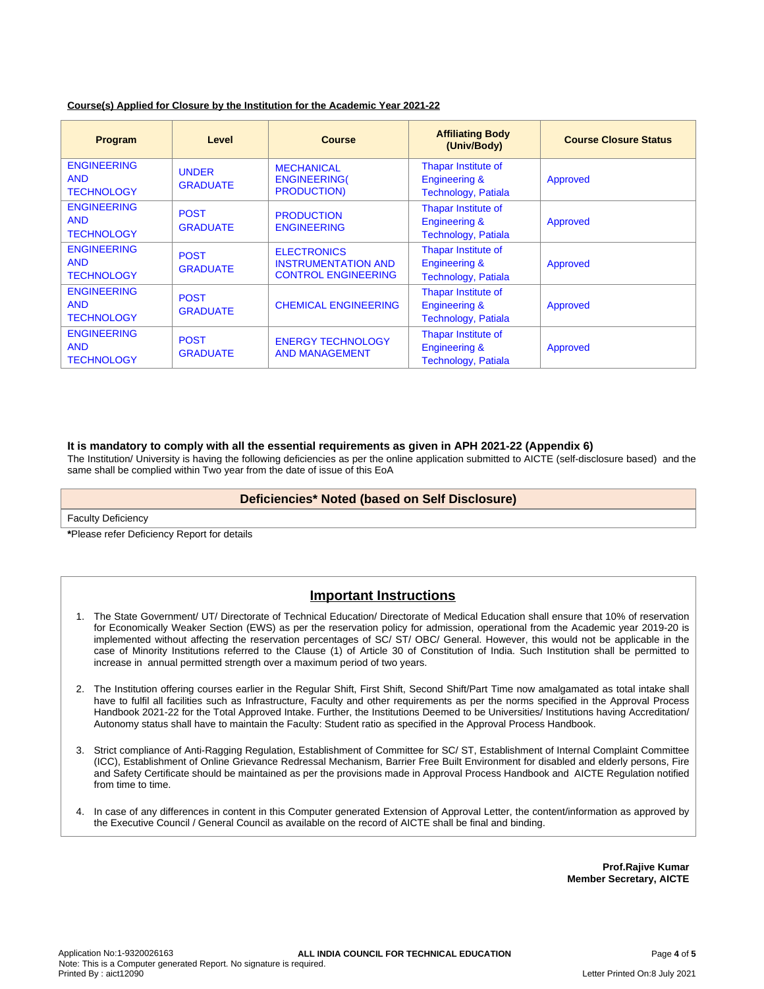| Program                                               | Level                                                    | <b>Course</b>                                           | <b>Affiliating Body</b><br>(Univ/Body)                                               | <b>Course Closure Status</b> |
|-------------------------------------------------------|----------------------------------------------------------|---------------------------------------------------------|--------------------------------------------------------------------------------------|------------------------------|
| <b>ENGINEERING</b><br><b>AND</b><br><b>TECHNOLOGY</b> | <b>UNDER</b><br><b>GRADUATE</b>                          | <b>MECHANICAL</b><br><b>ENGINEERING(</b><br>PRODUCTION) | Thapar Institute of<br><b>Engineering &amp;</b><br><b>Technology, Patiala</b>        | Approved                     |
| <b>ENGINEERING</b><br><b>AND</b><br><b>TECHNOLOGY</b> | <b>POST</b><br><b>GRADUATE</b>                           | <b>PRODUCTION</b><br><b>ENGINEERING</b>                 | <b>Thapar Institute of</b><br><b>Engineering &amp;</b><br><b>Technology, Patiala</b> | Approved                     |
| <b>ENGINEERING</b><br><b>AND</b>                      | <b>POST</b><br>$\bigcap A \cap \bigcup A \neq \emptyset$ | <b>ELECTRONICS</b><br><b>INSTRUMENTATION AND</b>        | Thapar Institute of<br>Engineering &                                                 | Approved                     |

CONTROL ENGINEERING

ENERGY TECHNOLOGY AND MANAGEMENT

GRADUATE | CHEMICAL ENGINEERING

#### **Course(s) Applied for Closure by the Institution for the Academic Year 2021-22**

GRADUATE

**POST** 

POST **GRADUATE** 

#### **It is mandatory to comply with all the essential requirements as given in APH 2021-22 (Appendix 6)**

The Institution/ University is having the following deficiencies as per the online application submitted to AICTE (self-disclosure based) and the same shall be complied within Two year from the date of issue of this EoA

Technology, Patiala

Thapar Institute of Engineering & Technology, Patiala

Thapar Institute of Engineering & Technology, Patiala Approved

Approved

#### **Deficiencies\* Noted (based on Self Disclosure)**

Faculty Deficiency

**TECHNOLOGY** 

ENGINEERING

**TECHNOLOGY** 

ENGINEERING

**TECHNOLOGY** 

AND

AND

**\***Please refer Deficiency Report for details

## **Important Instructions**

- 1. The State Government/ UT/ Directorate of Technical Education/ Directorate of Medical Education shall ensure that 10% of reservation for Economically Weaker Section (EWS) as per the reservation policy for admission, operational from the Academic year 2019-20 is implemented without affecting the reservation percentages of SC/ ST/ OBC/ General. However, this would not be applicable in the case of Minority Institutions referred to the Clause (1) of Article 30 of Constitution of India. Such Institution shall be permitted to increase in annual permitted strength over a maximum period of two years.
- 2. The Institution offering courses earlier in the Regular Shift, First Shift, Second Shift/Part Time now amalgamated as total intake shall have to fulfil all facilities such as Infrastructure, Faculty and other requirements as per the norms specified in the Approval Process Handbook 2021-22 for the Total Approved Intake. Further, the Institutions Deemed to be Universities/ Institutions having Accreditation/ Autonomy status shall have to maintain the Faculty: Student ratio as specified in the Approval Process Handbook.
- 3. Strict compliance of Anti-Ragging Regulation, Establishment of Committee for SC/ ST, Establishment of Internal Complaint Committee (ICC), Establishment of Online Grievance Redressal Mechanism, Barrier Free Built Environment for disabled and elderly persons, Fire and Safety Certificate should be maintained as per the provisions made in Approval Process Handbook and AICTE Regulation notified from time to time.
- 4. In case of any differences in content in this Computer generated Extension of Approval Letter, the content/information as approved by the Executive Council / General Council as available on the record of AICTE shall be final and binding.

**Prof.Rajive Kumar Member Secretary, AICTE**